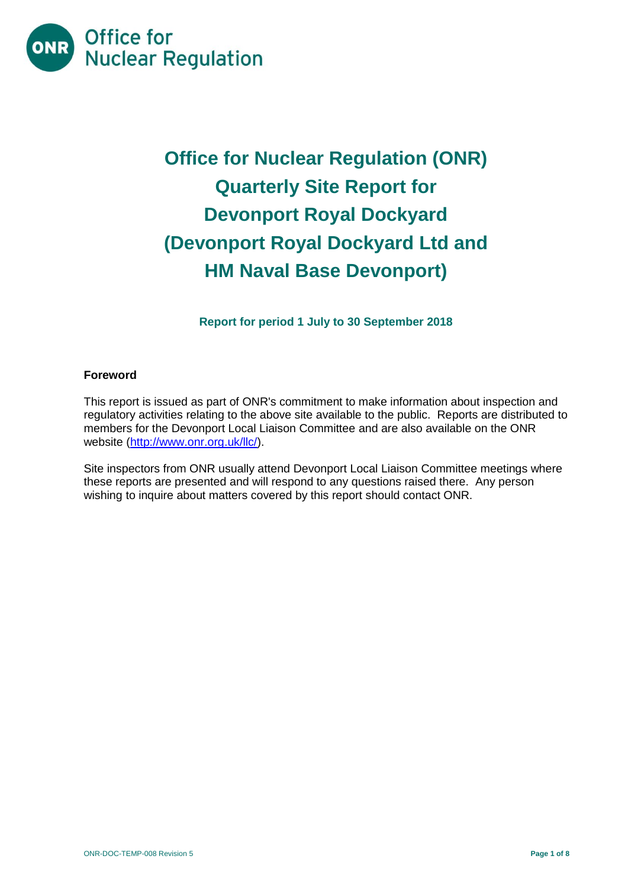

# **Office for Nuclear Regulation (ONR) Quarterly Site Report for Devonport Royal Dockyard (Devonport Royal Dockyard Ltd and HM Naval Base Devonport)**

**Report for period 1 July to 30 September 2018**

## **Foreword**

This report is issued as part of ONR's commitment to make information about inspection and regulatory activities relating to the above site available to the public. Reports are distributed to members for the Devonport Local Liaison Committee and are also available on the ONR website [\(http://www.onr.org.uk/llc/\)](http://www.onr.org.uk/llc/).

Site inspectors from ONR usually attend Devonport Local Liaison Committee meetings where these reports are presented and will respond to any questions raised there. Any person wishing to inquire about matters covered by this report should contact ONR.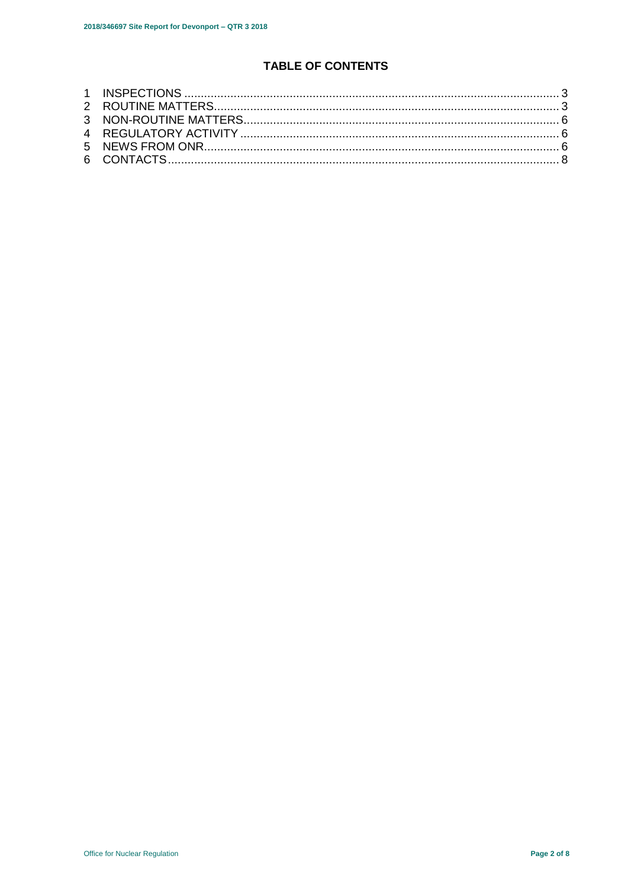# **TABLE OF CONTENTS**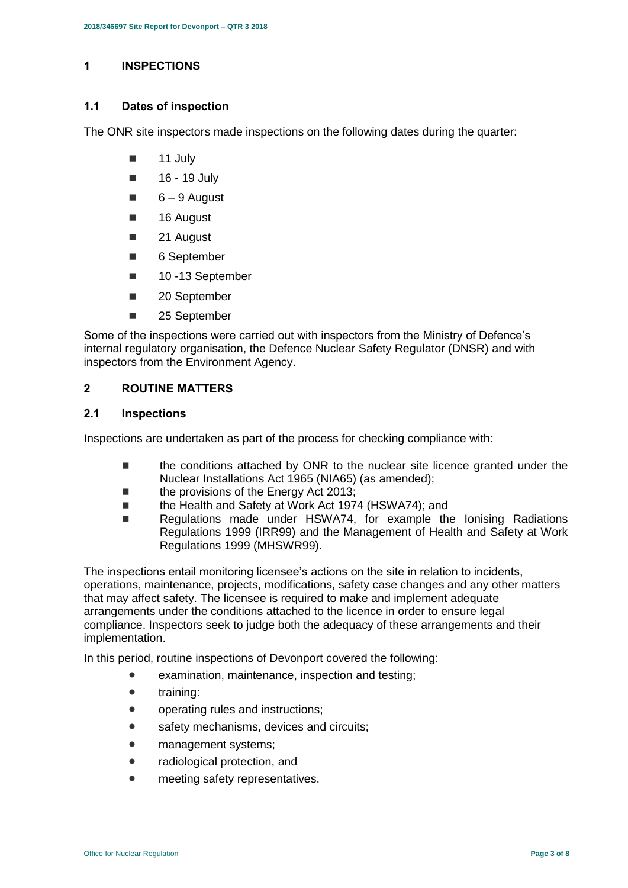# <span id="page-2-0"></span>**1 INSPECTIONS**

## **1.1 Dates of inspection**

The ONR site inspectors made inspections on the following dates during the quarter:

- 11 July
- $\blacksquare$  16 19 July
- $6 9$  August
- 16 August
- 21 August
- 6 September
- 10 -13 September
- 20 September
- 25 September

Some of the inspections were carried out with inspectors from the Ministry of Defence's internal regulatory organisation, the Defence Nuclear Safety Regulator (DNSR) and with inspectors from the Environment Agency.

# <span id="page-2-1"></span>**2 ROUTINE MATTERS**

# **2.1 Inspections**

Inspections are undertaken as part of the process for checking compliance with:

- the conditions attached by ONR to the nuclear site licence granted under the Nuclear Installations Act 1965 (NIA65) (as amended);
- the provisions of the Energy Act 2013;
- the Health and Safety at Work Act 1974 (HSWA74); and
- Regulations made under HSWA74, for example the Ionising Radiations Regulations 1999 (IRR99) and the Management of Health and Safety at Work Regulations 1999 (MHSWR99).

The inspections entail monitoring licensee's actions on the site in relation to incidents, operations, maintenance, projects, modifications, safety case changes and any other matters that may affect safety. The licensee is required to make and implement adequate arrangements under the conditions attached to the licence in order to ensure legal compliance. Inspectors seek to judge both the adequacy of these arrangements and their implementation.

In this period, routine inspections of Devonport covered the following:

- examination, maintenance, inspection and testing;
- training:
- operating rules and instructions;
- safety mechanisms, devices and circuits:
- management systems;
- radiological protection, and
- meeting safety representatives.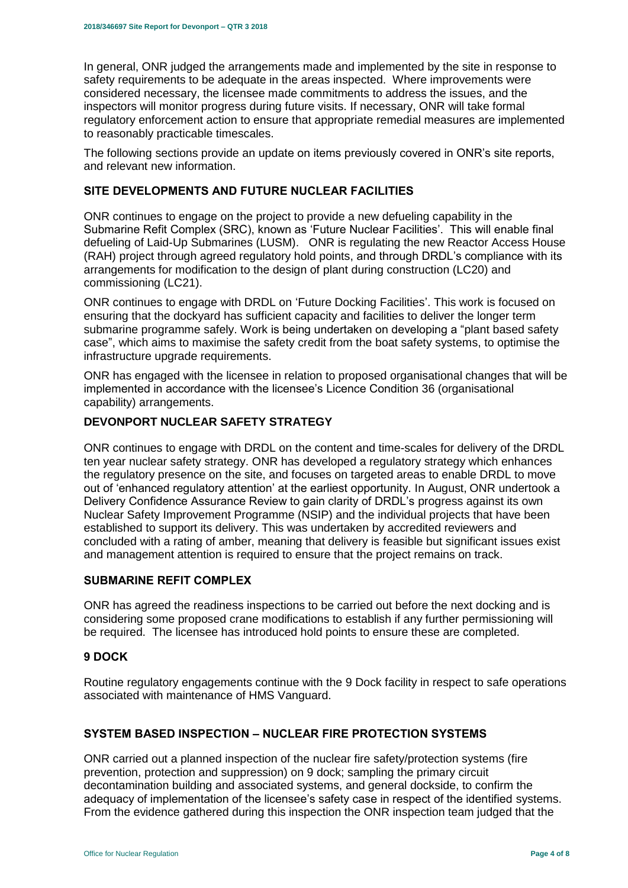In general, ONR judged the arrangements made and implemented by the site in response to safety requirements to be adequate in the areas inspected. Where improvements were considered necessary, the licensee made commitments to address the issues, and the inspectors will monitor progress during future visits. If necessary, ONR will take formal regulatory enforcement action to ensure that appropriate remedial measures are implemented to reasonably practicable timescales.

The following sections provide an update on items previously covered in ONR's site reports, and relevant new information.

# **SITE DEVELOPMENTS AND FUTURE NUCLEAR FACILITIES**

ONR continues to engage on the project to provide a new defueling capability in the Submarine Refit Complex (SRC), known as 'Future Nuclear Facilities'. This will enable final defueling of Laid-Up Submarines (LUSM). ONR is regulating the new Reactor Access House (RAH) project through agreed regulatory hold points, and through DRDL's compliance with its arrangements for modification to the design of plant during construction (LC20) and commissioning (LC21).

ONR continues to engage with DRDL on 'Future Docking Facilities'. This work is focused on ensuring that the dockyard has sufficient capacity and facilities to deliver the longer term submarine programme safely. Work is being undertaken on developing a "plant based safety case", which aims to maximise the safety credit from the boat safety systems, to optimise the infrastructure upgrade requirements.

ONR has engaged with the licensee in relation to proposed organisational changes that will be implemented in accordance with the licensee's Licence Condition 36 (organisational capability) arrangements.

# **DEVONPORT NUCLEAR SAFETY STRATEGY**

ONR continues to engage with DRDL on the content and time-scales for delivery of the DRDL ten year nuclear safety strategy. ONR has developed a regulatory strategy which enhances the regulatory presence on the site, and focuses on targeted areas to enable DRDL to move out of 'enhanced regulatory attention' at the earliest opportunity. In August, ONR undertook a Delivery Confidence Assurance Review to gain clarity of DRDL's progress against its own Nuclear Safety Improvement Programme (NSIP) and the individual projects that have been established to support its delivery. This was undertaken by accredited reviewers and concluded with a rating of amber, meaning that delivery is feasible but significant issues exist and management attention is required to ensure that the project remains on track.

#### **SUBMARINE REFIT COMPLEX**

ONR has agreed the readiness inspections to be carried out before the next docking and is considering some proposed crane modifications to establish if any further permissioning will be required. The licensee has introduced hold points to ensure these are completed.

#### **9 DOCK**

Routine regulatory engagements continue with the 9 Dock facility in respect to safe operations associated with maintenance of HMS Vanguard.

#### **SYSTEM BASED INSPECTION – NUCLEAR FIRE PROTECTION SYSTEMS**

ONR carried out a planned inspection of the nuclear fire safety/protection systems (fire prevention, protection and suppression) on 9 dock; sampling the primary circuit decontamination building and associated systems, and general dockside, to confirm the adequacy of implementation of the licensee's safety case in respect of the identified systems. From the evidence gathered during this inspection the ONR inspection team judged that the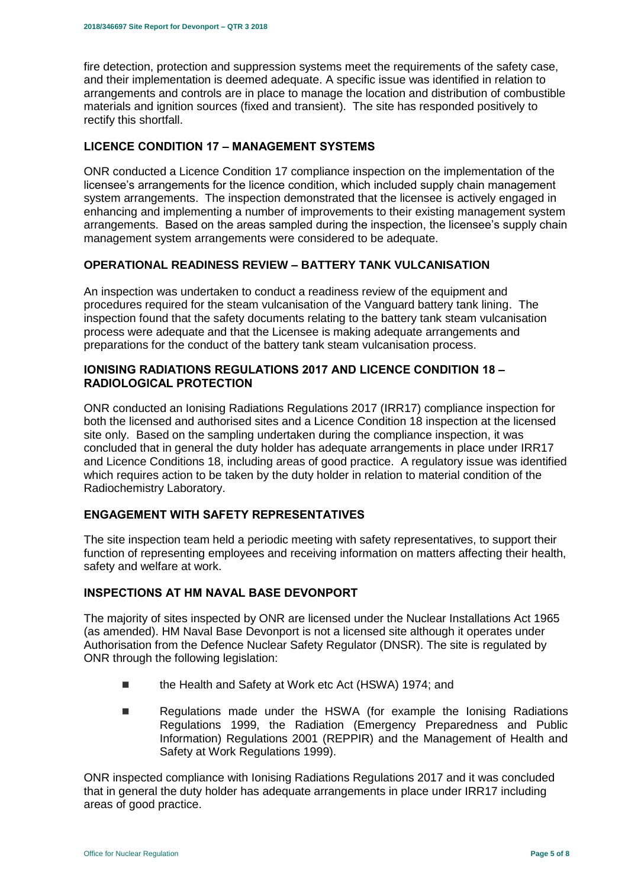fire detection, protection and suppression systems meet the requirements of the safety case, and their implementation is deemed adequate. A specific issue was identified in relation to arrangements and controls are in place to manage the location and distribution of combustible materials and ignition sources (fixed and transient). The site has responded positively to rectify this shortfall.

## **LICENCE CONDITION 17 – MANAGEMENT SYSTEMS**

ONR conducted a Licence Condition 17 compliance inspection on the implementation of the licensee's arrangements for the licence condition, which included supply chain management system arrangements. The inspection demonstrated that the licensee is actively engaged in enhancing and implementing a number of improvements to their existing management system arrangements. Based on the areas sampled during the inspection, the licensee's supply chain management system arrangements were considered to be adequate.

## **OPERATIONAL READINESS REVIEW – BATTERY TANK VULCANISATION**

An inspection was undertaken to conduct a readiness review of the equipment and procedures required for the steam vulcanisation of the Vanguard battery tank lining. The inspection found that the safety documents relating to the battery tank steam vulcanisation process were adequate and that the Licensee is making adequate arrangements and preparations for the conduct of the battery tank steam vulcanisation process.

## **IONISING RADIATIONS REGULATIONS 2017 AND LICENCE CONDITION 18 – RADIOLOGICAL PROTECTION**

ONR conducted an Ionising Radiations Regulations 2017 (IRR17) compliance inspection for both the licensed and authorised sites and a Licence Condition 18 inspection at the licensed site only. Based on the sampling undertaken during the compliance inspection, it was concluded that in general the duty holder has adequate arrangements in place under IRR17 and Licence Conditions 18, including areas of good practice. A regulatory issue was identified which requires action to be taken by the duty holder in relation to material condition of the Radiochemistry Laboratory.

# **ENGAGEMENT WITH SAFETY REPRESENTATIVES**

The site inspection team held a periodic meeting with safety representatives, to support their function of representing employees and receiving information on matters affecting their health, safety and welfare at work.

#### **INSPECTIONS AT HM NAVAL BASE DEVONPORT**

The majority of sites inspected by ONR are licensed under the Nuclear Installations Act 1965 (as amended). HM Naval Base Devonport is not a licensed site although it operates under Authorisation from the Defence Nuclear Safety Regulator (DNSR). The site is regulated by ONR through the following legislation:

- the Health and Safety at Work etc Act (HSWA) 1974; and
- **Regulations made under the HSWA (for example the Ionising Radiations** Regulations 1999, the Radiation (Emergency Preparedness and Public Information) Regulations 2001 (REPPIR) and the Management of Health and Safety at Work Regulations 1999).

ONR inspected compliance with Ionising Radiations Regulations 2017 and it was concluded that in general the duty holder has adequate arrangements in place under IRR17 including areas of good practice.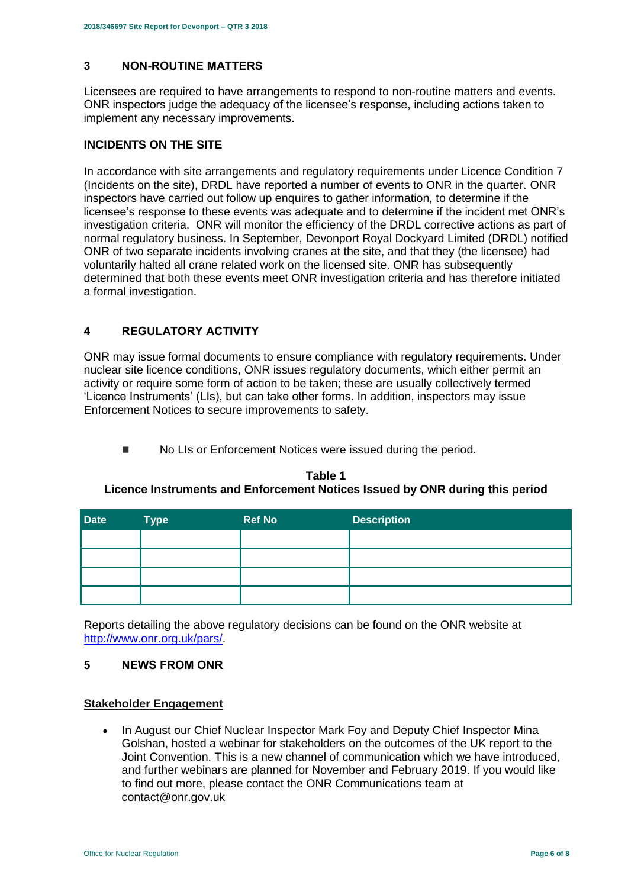# <span id="page-5-0"></span>**3 NON-ROUTINE MATTERS**

Licensees are required to have arrangements to respond to non-routine matters and events. ONR inspectors judge the adequacy of the licensee's response, including actions taken to implement any necessary improvements.

# **INCIDENTS ON THE SITE**

In accordance with site arrangements and regulatory requirements under Licence Condition 7 (Incidents on the site), DRDL have reported a number of events to ONR in the quarter. ONR inspectors have carried out follow up enquires to gather information, to determine if the licensee's response to these events was adequate and to determine if the incident met ONR's investigation criteria. ONR will monitor the efficiency of the DRDL corrective actions as part of normal regulatory business. In September, Devonport Royal Dockyard Limited (DRDL) notified ONR of two separate incidents involving cranes at the site, and that they (the licensee) had voluntarily halted all crane related work on the licensed site. ONR has subsequently determined that both these events meet ONR investigation criteria and has therefore initiated a formal investigation.

# <span id="page-5-1"></span>**4 REGULATORY ACTIVITY**

ONR may issue formal documents to ensure compliance with regulatory requirements. Under nuclear site licence conditions, ONR issues regulatory documents, which either permit an activity or require some form of action to be taken; these are usually collectively termed 'Licence Instruments' (LIs), but can take other forms. In addition, inspectors may issue Enforcement Notices to secure improvements to safety.

■ No LIs or Enforcement Notices were issued during the period.

# **Table 1 Licence Instruments and Enforcement Notices Issued by ONR during this period**

| <b>Date</b> | <b>Type</b> | <b>Ref No</b> | <b>Description</b> |
|-------------|-------------|---------------|--------------------|
|             |             |               |                    |
|             |             |               |                    |
|             |             |               |                    |
|             |             |               |                    |

Reports detailing the above regulatory decisions can be found on the ONR website at [http://www.onr.org.uk/pars/.](http://www.onr.org.uk/pars/)

#### <span id="page-5-2"></span>**5 NEWS FROM ONR**

#### **Stakeholder Engagement**

• In August our Chief Nuclear Inspector Mark Foy and Deputy Chief Inspector Mina Golshan, hosted a webinar for stakeholders on the outcomes of the UK report to the Joint Convention. This is a new channel of communication which we have introduced, and further webinars are planned for November and February 2019. If you would like to find out more, please contact the ONR Communications team at contact@onr.gov.uk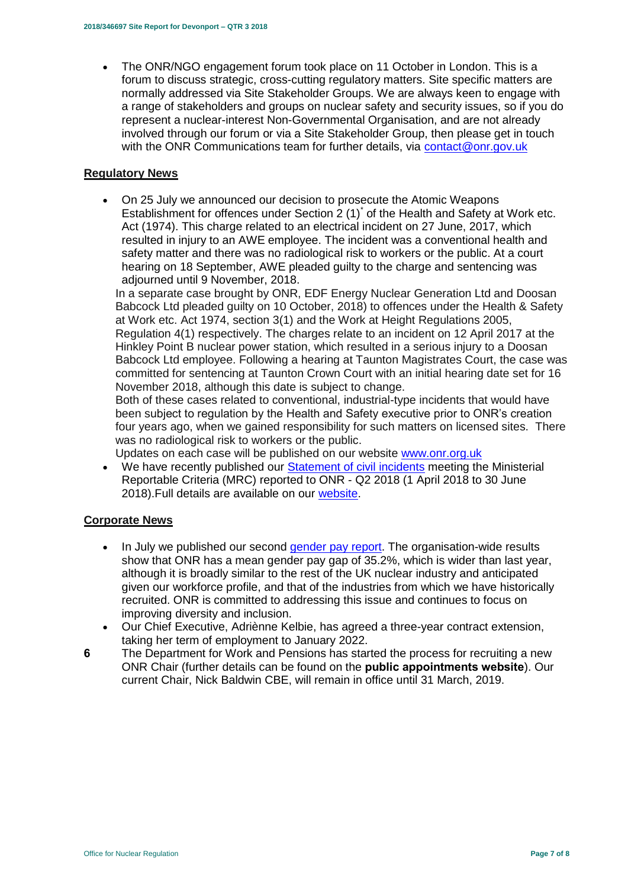The ONR/NGO engagement forum took place on 11 October in London. This is a forum to discuss strategic, cross-cutting regulatory matters. Site specific matters are normally addressed via Site Stakeholder Groups. We are always keen to engage with a range of stakeholders and groups on nuclear safety and security issues, so if you do represent a nuclear-interest Non-Governmental Organisation, and are not already involved through our forum or via a Site Stakeholder Group, then please get in touch with the ONR Communications team for further details, via [contact@onr.gov.uk](mailto:contact@onr.gov.uk)

#### **Regulatory News**

 On 25 July we announced our decision to prosecute the Atomic Weapons Establishment for offences under Section  $2(1)^{r}$  of the Health and Safety at Work etc. Act (1974). This charge related to an electrical incident on 27 June, 2017, which resulted in injury to an AWE employee. The incident was a conventional health and safety matter and there was no radiological risk to workers or the public. At a court hearing on 18 September, AWE pleaded guilty to the charge and sentencing was adjourned until 9 November, 2018.

In a separate case brought by ONR, EDF Energy Nuclear Generation Ltd and Doosan Babcock Ltd pleaded guilty on 10 October, 2018) to offences under the Health & Safety at Work etc. Act 1974, section 3(1) and the Work at Height Regulations 2005, Regulation 4(1) respectively. The charges relate to an incident on 12 April 2017 at the Hinkley Point B nuclear power station, which resulted in a serious injury to a Doosan Babcock Ltd employee. Following a hearing at Taunton Magistrates Court, the case was committed for sentencing at Taunton Crown Court with an initial hearing date set for 16 November 2018, although this date is subject to change.

Both of these cases related to conventional, industrial-type incidents that would have been subject to regulation by the Health and Safety executive prior to ONR's creation four years ago, when we gained responsibility for such matters on licensed sites. There was no radiological risk to workers or the public.

Updates on each case will be published on our website [www.onr.org.uk](http://www.onr.org.uk/)

• We have recently published our [Statement of civil incidents](http://www.onr.org.uk/quarterly-stat/2018-2.htm) meeting the Ministerial Reportable Criteria (MRC) reported to ONR - Q2 2018 (1 April 2018 to 30 June 2018).Full details are available on our [website.](http://www.onr.org.uk/quarterly-stat/2018-2.htm)

# **Corporate News**

- In July we published our second [gender pay report.](http://news.onr.org.uk/2018/07/onr-publishes-second-gender-pay-report/) The organisation-wide results show that ONR has a mean gender pay gap of 35.2%, which is wider than last year, although it is broadly similar to the rest of the UK nuclear industry and anticipated given our workforce profile, and that of the industries from which we have historically recruited. ONR is committed to addressing this issue and continues to focus on improving diversity and inclusion.
- Our Chief Executive, Adriènne Kelbie, has agreed a three-year contract extension, taking her term of employment to January 2022.
- **6** The Department for Work and Pensions has started the process for recruiting a new ONR Chair (further details can be found on the **[public appointments website](https://publicappointments.cabinetoffice.gov.uk/appointment/chair-the-office-for-nuclear-regulations/)**). Our current Chair, Nick Baldwin CBE, will remain in office until 31 March, 2019.